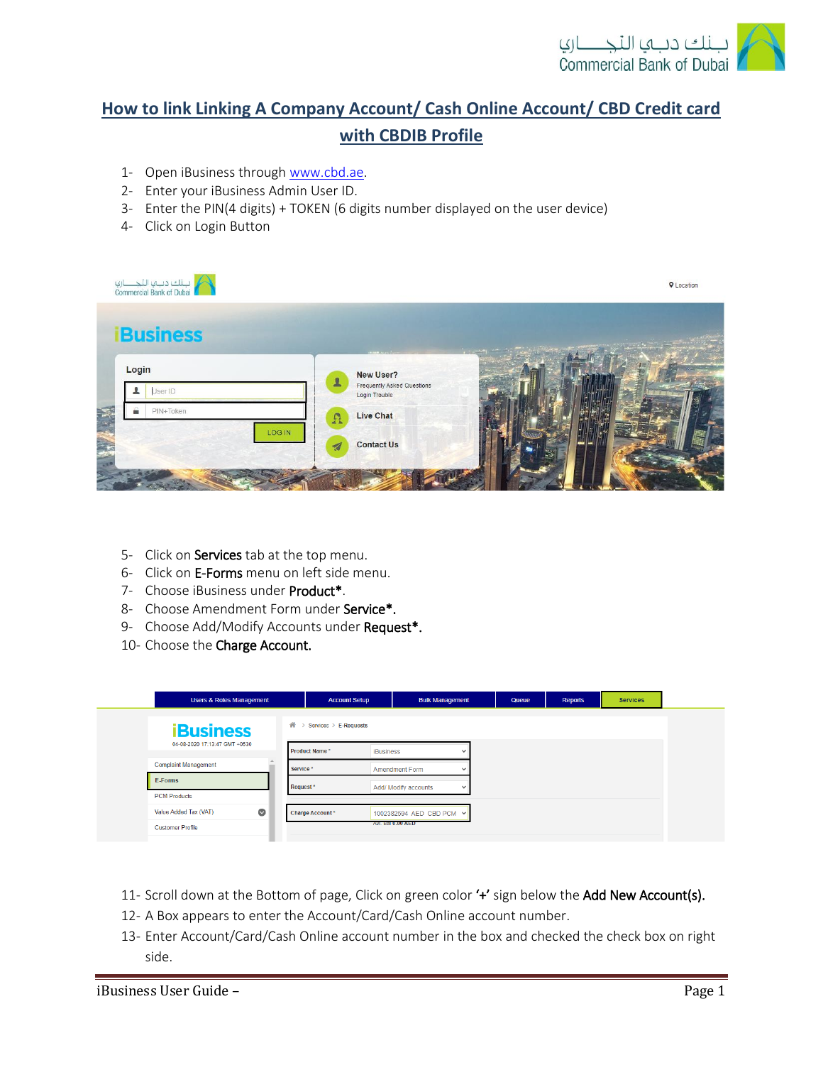

## **How to link Linking A Company Account/ Cash Online Account/ CBD Credit card with CBDIB Profile**

- 1- Open iBusiness through [www.cbd.ae.](http://www.cbd.ae/)
- 2- Enter your iBusiness Admin User ID.
- 3- Enter the PIN(4 digits) + TOKEN (6 digits number displayed on the user device)
- 4- Click on Login Button

| لبنك دبب النجـــــاري<br>Commercial Bank of Dubai |                                                                                 | <b>Q</b> Location |
|---------------------------------------------------|---------------------------------------------------------------------------------|-------------------|
| <b>Business</b>                                   | <b>NEWSY</b>                                                                    |                   |
| Login<br>User ID                                  | New User?<br>$\mathbf{r}$<br><b>Frequently Asked Questions</b><br>Login Trouble |                   |
| ≞<br>PIN+Token                                    | Live Chat<br>$\Omega$                                                           |                   |
| LOG IN<br>$\frac{1}{2}$                           | <b>Contact Us</b><br>$\overline{\mathcal{A}}$                                   |                   |
|                                                   |                                                                                 |                   |

- 5- Click on Services tab at the top menu.
- 6- Click on E-Forms menu on left side menu.
- 7- Choose iBusiness under Product\*.
- 8- Choose Amendment Form under Service\*.
- 9- Choose Add/Modify Accounts under Request\*.
- 10- Choose the Charge Account.

| <b>Users &amp; Roles Management</b> | <b>Account Setup</b>       | <b>Bulk Management</b>   |                          | Queue | Reports | <b>Services</b> |
|-------------------------------------|----------------------------|--------------------------|--------------------------|-------|---------|-----------------|
| <b>iBusiness</b>                    | 眷<br>Services > E-Requests |                          |                          |       |         |                 |
| 04-08-2020 17:13:47 GMT +0530       | Product Name*              | <b>iBusiness</b>         | $\ddot{\phantom{0}}$     |       |         |                 |
| <b>Complaint Management</b>         | Service*                   | Amendment Form           | $\overline{\phantom{a}}$ |       |         |                 |
| E-Forms                             | Request <sup>*</sup>       | Add/ Modify accounts     | $\checkmark$             |       |         |                 |
| <b>PCM Products</b>                 |                            |                          |                          |       |         |                 |
| $\bullet$<br>Value Added Tax (VAT)  | Charge Account*            | 1002382594 AED CBD PCM V |                          |       |         |                 |
| <b>Customer Profile</b>             |                            | AVI. Bal 0.00 AED        |                          |       |         |                 |

- 11- Scroll down at the Bottom of page, Click on green color '+' sign below the Add New Account(s).
- 12- A Box appears to enter the Account/Card/Cash Online account number.
- 13- Enter Account/Card/Cash Online account number in the box and checked the check box on right side.